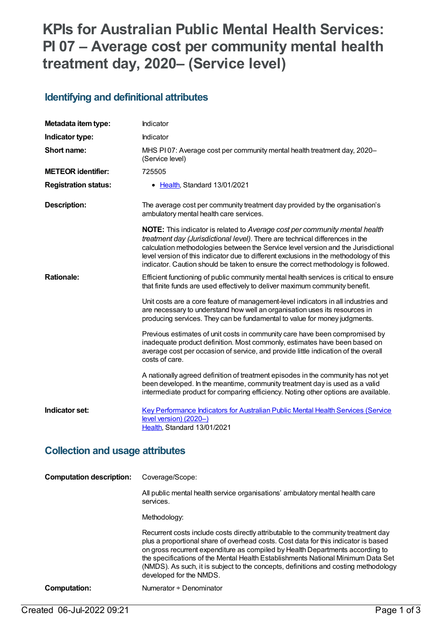# **KPIs for Australian Public Mental Health Services: PI 07 – Average cost per community mental health treatment day, 2020– (Service level)**

#### **Identifying and definitional attributes**

| Metadata item type:                    | Indicator                                                                                                                                                                                                                                                                                                                                                                                                                               |  |
|----------------------------------------|-----------------------------------------------------------------------------------------------------------------------------------------------------------------------------------------------------------------------------------------------------------------------------------------------------------------------------------------------------------------------------------------------------------------------------------------|--|
| Indicator type:                        | Indicator                                                                                                                                                                                                                                                                                                                                                                                                                               |  |
| Short name:                            | MHS PI07: Average cost per community mental health treatment day, 2020-<br>(Service level)                                                                                                                                                                                                                                                                                                                                              |  |
| <b>METEOR identifier:</b>              | 725505                                                                                                                                                                                                                                                                                                                                                                                                                                  |  |
| <b>Registration status:</b>            | • Health, Standard 13/01/2021                                                                                                                                                                                                                                                                                                                                                                                                           |  |
| <b>Description:</b>                    | The average cost per community treatment day provided by the organisation's<br>ambulatory mental health care services.                                                                                                                                                                                                                                                                                                                  |  |
|                                        | <b>NOTE:</b> This indicator is related to Average cost per community mental health<br>treatment day (Jurisdictional level). There are technical differences in the<br>calculation methodologies between the Service level version and the Jurisdictional<br>level version of this indicator due to different exclusions in the methodology of this<br>indicator. Caution should be taken to ensure the correct methodology is followed. |  |
| <b>Rationale:</b>                      | Efficient functioning of public community mental health services is critical to ensure<br>that finite funds are used effectively to deliver maximum community benefit.                                                                                                                                                                                                                                                                  |  |
|                                        | Unit costs are a core feature of management-level indicators in all industries and<br>are necessary to understand how well an organisation uses its resources in<br>producing services. They can be fundamental to value for money judgments.                                                                                                                                                                                           |  |
|                                        | Previous estimates of unit costs in community care have been compromised by<br>inadequate product definition. Most commonly, estimates have been based on<br>average cost per occasion of service, and provide little indication of the overall<br>costs of care.                                                                                                                                                                       |  |
|                                        | A nationally agreed definition of treatment episodes in the community has not yet<br>been developed. In the meantime, community treatment day is used as a valid<br>intermediate product for comparing efficiency. Noting other options are available.                                                                                                                                                                                  |  |
| Indicator set:                         | Key Performance Indicators for Australian Public Mental Health Services (Service<br>level version) (2020-)<br>Health, Standard 13/01/2021                                                                                                                                                                                                                                                                                               |  |
| <b>Collection and usage attributes</b> |                                                                                                                                                                                                                                                                                                                                                                                                                                         |  |
| <b>Computation description:</b>        | Coverage/Scope:                                                                                                                                                                                                                                                                                                                                                                                                                         |  |
|                                        | All public mental health service organisations' ambulatory mental health care<br>services.                                                                                                                                                                                                                                                                                                                                              |  |

Methodology:

Recurrent costs include costs directly attributable to the community treatment day plus a proportional share of overhead costs. Cost data for this indicator is based on gross recurrent expenditure as compiled by Health Departments according to the specifications of the Mental Health Establishments National Minimum Data Set (NMDS). As such, it is subject to the concepts, definitions and costing methodology developed for the NMDS.

#### **Computation:** Numerator ÷ Denominator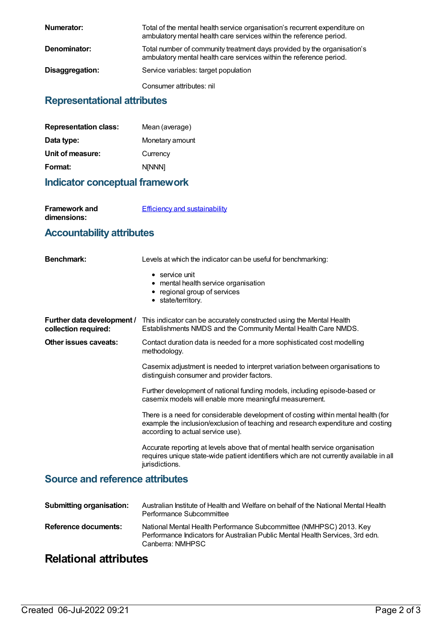| Numerator:      | Total of the mental health service organisation's recurrent expenditure on<br>ambulatory mental health care services within the reference period. |
|-----------------|---------------------------------------------------------------------------------------------------------------------------------------------------|
| Denominator:    | Total number of community treatment days provided by the organisation's<br>ambulatory mental health care services within the reference period.    |
| Disaggregation: | Service variables: target population                                                                                                              |
|                 | Consumer attributes: nil                                                                                                                          |

#### **Representational attributes**

| Mean (average)  |
|-----------------|
| Monetary amount |
| Currency        |
| <b>NINNN1</b>   |
|                 |

#### **Indicator conceptual framework**

**Framework and dimensions:**

**Efficiency and [sustainability](https://meteor.aihw.gov.au/content/721208)** 

### **Accountability attributes**

| <b>Benchmark:</b>                                  | Levels at which the indicator can be useful for benchmarking:                                                                                                                                              |
|----------------------------------------------------|------------------------------------------------------------------------------------------------------------------------------------------------------------------------------------------------------------|
|                                                    | $\bullet$ service unit<br>• mental health service organisation<br>• regional group of services<br>• state/territory.                                                                                       |
| Further data development /<br>collection required: | This indicator can be accurately constructed using the Mental Health<br>Establishments NMDS and the Community Mental Health Care NMDS.                                                                     |
| Other issues caveats:                              | Contact duration data is needed for a more sophisticated cost modelling<br>methodology.                                                                                                                    |
|                                                    | Casemix adjustment is needed to interpret variation between organisations to<br>distinguish consumer and provider factors.                                                                                 |
|                                                    | Further development of national funding models, including episode-based or<br>casemix models will enable more meaningful measurement.                                                                      |
|                                                    | There is a need for considerable development of costing within mental health (for<br>example the inclusion/exclusion of teaching and research expenditure and costing<br>according to actual service use). |
|                                                    | Accurate reporting at levels above that of mental health service organisation<br>requires unique state-wide patient identifiers which are not currently available in all<br>jurisdictions.                 |

#### **Source and reference attributes**

| <b>Submitting organisation:</b> | Australian Institute of Health and Welfare on behalf of the National Mental Health<br>Performance Subcommittee                                                          |
|---------------------------------|-------------------------------------------------------------------------------------------------------------------------------------------------------------------------|
| Reference documents:            | National Mental Health Performance Subcommittee (NMHPSC) 2013. Key<br>Performance Indicators for Australian Public Mental Health Services, 3rd edn.<br>Canberra: NMHPSC |

## **Relational attributes**